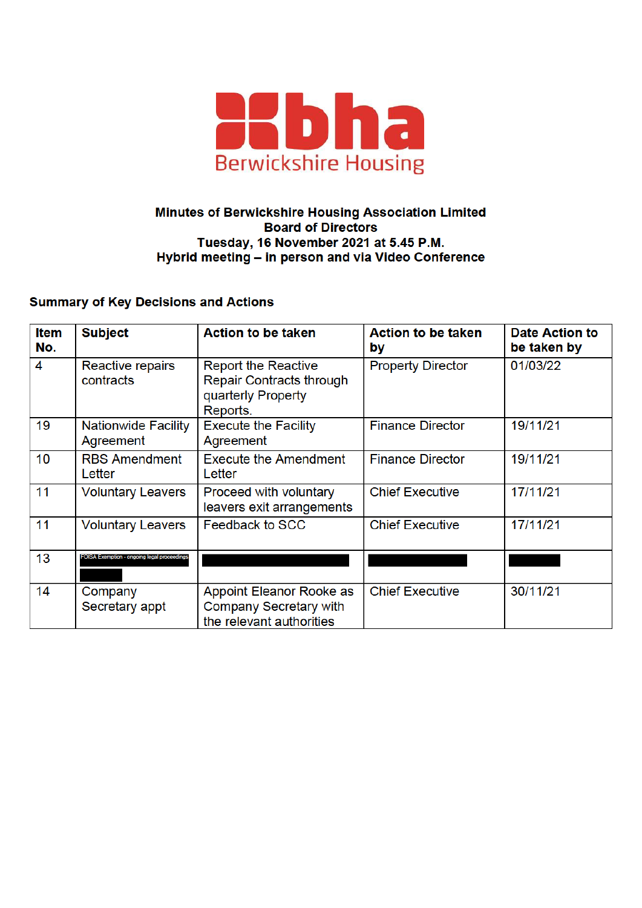

## Minutes of Berwickshire Housing Association Limited **Board of Directors** Tuesday, 16 November 2021 at 5.45 P.M. Hybrid meeting - in person and via Video Conference

## **Summary of Key Decisions and Actions**

| <b>Item</b><br>No. | <b>Subject</b>                              | <b>Action to be taken</b>                                                                | <b>Action to be taken</b><br>by | <b>Date Action to</b><br>be taken by |
|--------------------|---------------------------------------------|------------------------------------------------------------------------------------------|---------------------------------|--------------------------------------|
| 4                  | Reactive repairs<br>contracts               | <b>Report the Reactive</b><br>Repair Contracts through<br>quarterly Property<br>Reports. | <b>Property Director</b>        | 01/03/22                             |
| 19                 | <b>Nationwide Facility</b><br>Agreement     | <b>Execute the Facility</b><br>Agreement                                                 | <b>Finance Director</b>         | 19/11/21                             |
| 10 <sup>°</sup>    | <b>RBS Amendment</b><br>Letter              | <b>Execute the Amendment</b><br>Letter                                                   | <b>Finance Director</b>         | 19/11/21                             |
| 11                 | <b>Voluntary Leavers</b>                    | Proceed with voluntary<br>leavers exit arrangements                                      | <b>Chief Executive</b>          | 17/11/21                             |
| 11                 | <b>Voluntary Leavers</b>                    | Feedback to SCC                                                                          | <b>Chief Executive</b>          | 17/11/21                             |
| 13                 | FOISA Exemption - ongoing legal proceedings |                                                                                          |                                 |                                      |
| 14                 | Company<br>Secretary appt                   | Appoint Eleanor Rooke as<br>Company Secretary with<br>the relevant authorities           | <b>Chief Executive</b>          | 30/11/21                             |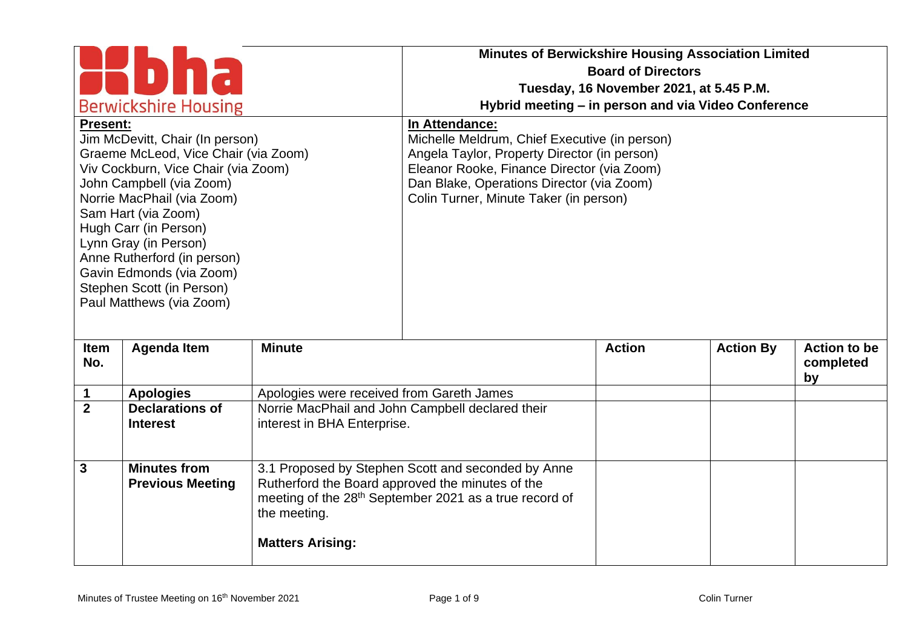| <b>Berwickshire Housing</b><br><b>Present:</b><br>Jim McDevitt, Chair (In person)                                                                                                                                                                                                                                                  |                                                |                                                                                                                                                                                              | <b>Minutes of Berwickshire Housing Association Limited</b><br><b>Board of Directors</b><br>Tuesday, 16 November 2021, at 5.45 P.M.<br>Hybrid meeting – in person and via Video Conference<br>In Attendance:<br>Michelle Meldrum, Chief Executive (in person) |               |                  |                                        |
|------------------------------------------------------------------------------------------------------------------------------------------------------------------------------------------------------------------------------------------------------------------------------------------------------------------------------------|------------------------------------------------|----------------------------------------------------------------------------------------------------------------------------------------------------------------------------------------------|--------------------------------------------------------------------------------------------------------------------------------------------------------------------------------------------------------------------------------------------------------------|---------------|------------------|----------------------------------------|
| Graeme McLeod, Vice Chair (via Zoom)<br>Viv Cockburn, Vice Chair (via Zoom)<br>John Campbell (via Zoom)<br>Norrie MacPhail (via Zoom)<br>Sam Hart (via Zoom)<br>Hugh Carr (in Person)<br>Lynn Gray (in Person)<br>Anne Rutherford (in person)<br>Gavin Edmonds (via Zoom)<br>Stephen Scott (in Person)<br>Paul Matthews (via Zoom) |                                                | Angela Taylor, Property Director (in person)<br>Eleanor Rooke, Finance Director (via Zoom)<br>Dan Blake, Operations Director (via Zoom)<br>Colin Turner, Minute Taker (in person)            |                                                                                                                                                                                                                                                              |               |                  |                                        |
| <b>Item</b><br>No.                                                                                                                                                                                                                                                                                                                 | <b>Agenda Item</b>                             | <b>Minute</b>                                                                                                                                                                                |                                                                                                                                                                                                                                                              | <b>Action</b> | <b>Action By</b> | <b>Action to be</b><br>completed<br>by |
| 1                                                                                                                                                                                                                                                                                                                                  | <b>Apologies</b>                               | Apologies were received from Gareth James                                                                                                                                                    |                                                                                                                                                                                                                                                              |               |                  |                                        |
| $\overline{2}$                                                                                                                                                                                                                                                                                                                     | <b>Declarations of</b><br><b>Interest</b>      | Norrie MacPhail and John Campbell declared their<br>interest in BHA Enterprise.                                                                                                              |                                                                                                                                                                                                                                                              |               |                  |                                        |
| $\overline{3}$                                                                                                                                                                                                                                                                                                                     | <b>Minutes from</b><br><b>Previous Meeting</b> | 3.1 Proposed by Stephen Scott and seconded by Anne<br>Rutherford the Board approved the minutes of the<br>meeting of the 28 <sup>th</sup> September 2021 as a true record of<br>the meeting. |                                                                                                                                                                                                                                                              |               |                  |                                        |
|                                                                                                                                                                                                                                                                                                                                    |                                                | <b>Matters Arising:</b>                                                                                                                                                                      |                                                                                                                                                                                                                                                              |               |                  |                                        |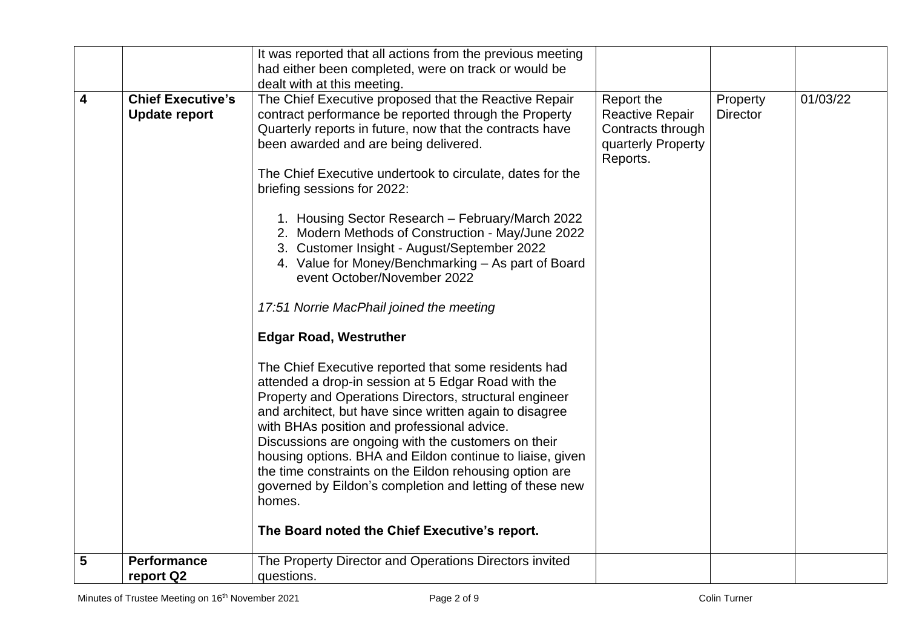|                         |                                                  | It was reported that all actions from the previous meeting                                                                                                                                                                                                                                                                                                                                                                                                                                                                                                                            |                                                                                             |                             |          |
|-------------------------|--------------------------------------------------|---------------------------------------------------------------------------------------------------------------------------------------------------------------------------------------------------------------------------------------------------------------------------------------------------------------------------------------------------------------------------------------------------------------------------------------------------------------------------------------------------------------------------------------------------------------------------------------|---------------------------------------------------------------------------------------------|-----------------------------|----------|
|                         |                                                  | had either been completed, were on track or would be                                                                                                                                                                                                                                                                                                                                                                                                                                                                                                                                  |                                                                                             |                             |          |
|                         |                                                  | dealt with at this meeting.                                                                                                                                                                                                                                                                                                                                                                                                                                                                                                                                                           |                                                                                             |                             |          |
| $\overline{\mathbf{4}}$ | <b>Chief Executive's</b><br><b>Update report</b> | The Chief Executive proposed that the Reactive Repair<br>contract performance be reported through the Property<br>Quarterly reports in future, now that the contracts have<br>been awarded and are being delivered.<br>The Chief Executive undertook to circulate, dates for the<br>briefing sessions for 2022:<br>1. Housing Sector Research - February/March 2022<br>2. Modern Methods of Construction - May/June 2022<br>3. Customer Insight - August/September 2022                                                                                                               | Report the<br><b>Reactive Repair</b><br>Contracts through<br>quarterly Property<br>Reports. | Property<br><b>Director</b> | 01/03/22 |
|                         |                                                  | 4. Value for Money/Benchmarking - As part of Board<br>event October/November 2022<br>17:51 Norrie MacPhail joined the meeting                                                                                                                                                                                                                                                                                                                                                                                                                                                         |                                                                                             |                             |          |
|                         |                                                  | <b>Edgar Road, Westruther</b>                                                                                                                                                                                                                                                                                                                                                                                                                                                                                                                                                         |                                                                                             |                             |          |
|                         |                                                  | The Chief Executive reported that some residents had<br>attended a drop-in session at 5 Edgar Road with the<br>Property and Operations Directors, structural engineer<br>and architect, but have since written again to disagree<br>with BHAs position and professional advice.<br>Discussions are ongoing with the customers on their<br>housing options. BHA and Eildon continue to liaise, given<br>the time constraints on the Eildon rehousing option are<br>governed by Eildon's completion and letting of these new<br>homes.<br>The Board noted the Chief Executive's report. |                                                                                             |                             |          |
| 5                       | <b>Performance</b><br>report Q2                  | The Property Director and Operations Directors invited<br>questions.                                                                                                                                                                                                                                                                                                                                                                                                                                                                                                                  |                                                                                             |                             |          |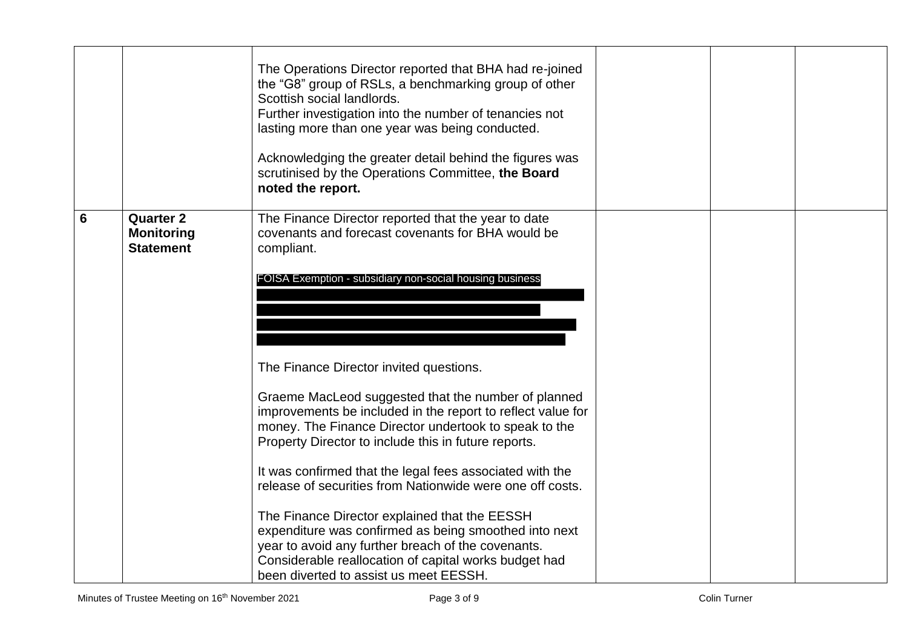|                 |                                                           | The Operations Director reported that BHA had re-joined<br>the "G8" group of RSLs, a benchmarking group of other<br>Scottish social landlords.<br>Further investigation into the number of tenancies not<br>lasting more than one year was being conducted.<br>Acknowledging the greater detail behind the figures was<br>scrutinised by the Operations Committee, the Board<br>noted the report.                                                                                                                 |  |  |
|-----------------|-----------------------------------------------------------|-------------------------------------------------------------------------------------------------------------------------------------------------------------------------------------------------------------------------------------------------------------------------------------------------------------------------------------------------------------------------------------------------------------------------------------------------------------------------------------------------------------------|--|--|
| $6\phantom{1}6$ | <b>Quarter 2</b><br><b>Monitoring</b><br><b>Statement</b> | The Finance Director reported that the year to date<br>covenants and forecast covenants for BHA would be<br>compliant.<br>FOISA Exemption - subsidiary non-social housing business                                                                                                                                                                                                                                                                                                                                |  |  |
|                 |                                                           | The Finance Director invited questions.<br>Graeme MacLeod suggested that the number of planned<br>improvements be included in the report to reflect value for<br>money. The Finance Director undertook to speak to the<br>Property Director to include this in future reports.<br>It was confirmed that the legal fees associated with the<br>release of securities from Nationwide were one off costs.<br>The Finance Director explained that the EESSH<br>expenditure was confirmed as being smoothed into next |  |  |
|                 |                                                           | year to avoid any further breach of the covenants.<br>Considerable reallocation of capital works budget had<br>been diverted to assist us meet EESSH.                                                                                                                                                                                                                                                                                                                                                             |  |  |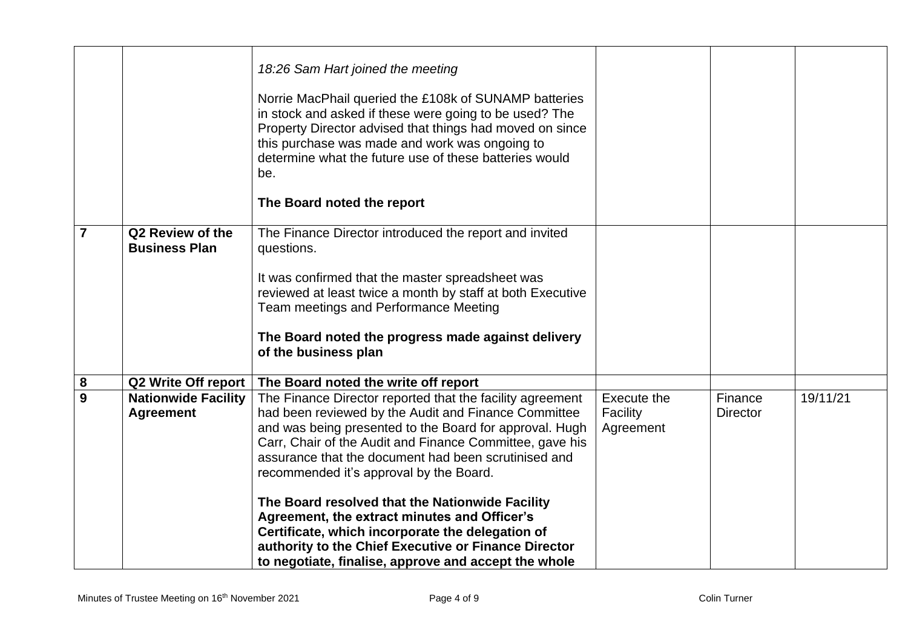|                |                                                | 18:26 Sam Hart joined the meeting<br>Norrie MacPhail queried the £108k of SUNAMP batteries<br>in stock and asked if these were going to be used? The<br>Property Director advised that things had moved on since<br>this purchase was made and work was ongoing to<br>determine what the future use of these batteries would<br>be.<br>The Board noted the report |                                      |                            |          |
|----------------|------------------------------------------------|-------------------------------------------------------------------------------------------------------------------------------------------------------------------------------------------------------------------------------------------------------------------------------------------------------------------------------------------------------------------|--------------------------------------|----------------------------|----------|
| $\overline{7}$ | Q2 Review of the<br><b>Business Plan</b>       | The Finance Director introduced the report and invited<br>questions.<br>It was confirmed that the master spreadsheet was<br>reviewed at least twice a month by staff at both Executive<br>Team meetings and Performance Meeting<br>The Board noted the progress made against delivery<br>of the business plan                                                     |                                      |                            |          |
| 8              | <b>Q2 Write Off report</b>                     | The Board noted the write off report                                                                                                                                                                                                                                                                                                                              |                                      |                            |          |
| $\overline{9}$ | <b>Nationwide Facility</b><br><b>Agreement</b> | The Finance Director reported that the facility agreement<br>had been reviewed by the Audit and Finance Committee<br>and was being presented to the Board for approval. Hugh<br>Carr, Chair of the Audit and Finance Committee, gave his<br>assurance that the document had been scrutinised and<br>recommended it's approval by the Board.                       | Execute the<br>Facility<br>Agreement | Finance<br><b>Director</b> | 19/11/21 |
|                |                                                | The Board resolved that the Nationwide Facility<br>Agreement, the extract minutes and Officer's<br>Certificate, which incorporate the delegation of<br>authority to the Chief Executive or Finance Director<br>to negotiate, finalise, approve and accept the whole                                                                                               |                                      |                            |          |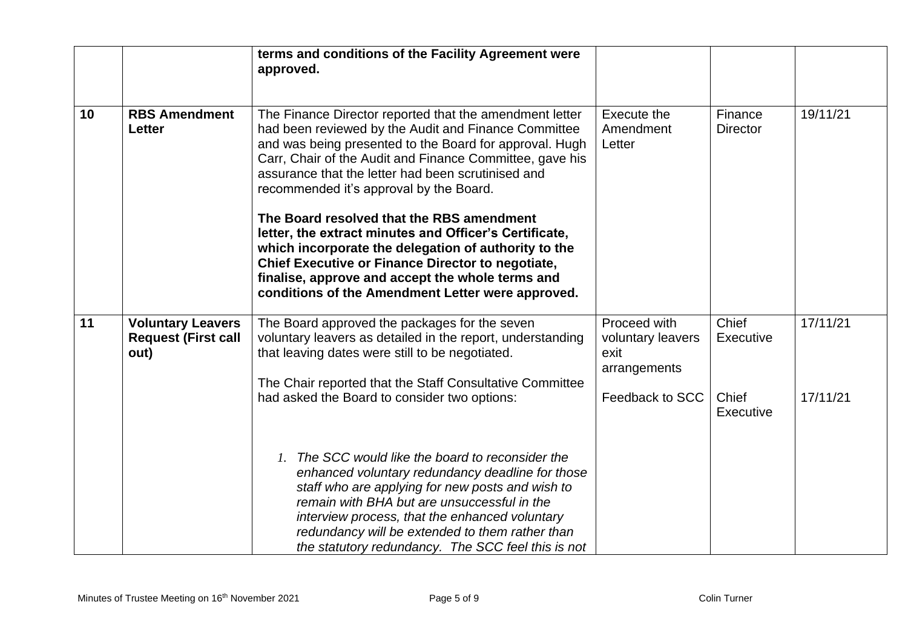|    |                                                                | terms and conditions of the Facility Agreement were<br>approved.                                                                                                                                                                                                                                                                                                                                                                                                                                                                                                                                                                                                            |                                                                              |                                                 |                      |
|----|----------------------------------------------------------------|-----------------------------------------------------------------------------------------------------------------------------------------------------------------------------------------------------------------------------------------------------------------------------------------------------------------------------------------------------------------------------------------------------------------------------------------------------------------------------------------------------------------------------------------------------------------------------------------------------------------------------------------------------------------------------|------------------------------------------------------------------------------|-------------------------------------------------|----------------------|
| 10 | <b>RBS Amendment</b><br><b>Letter</b>                          | The Finance Director reported that the amendment letter<br>had been reviewed by the Audit and Finance Committee<br>and was being presented to the Board for approval. Hugh<br>Carr, Chair of the Audit and Finance Committee, gave his<br>assurance that the letter had been scrutinised and<br>recommended it's approval by the Board.<br>The Board resolved that the RBS amendment<br>letter, the extract minutes and Officer's Certificate,<br>which incorporate the delegation of authority to the<br><b>Chief Executive or Finance Director to negotiate,</b><br>finalise, approve and accept the whole terms and<br>conditions of the Amendment Letter were approved. | Execute the<br>Amendment<br>Letter                                           | Finance<br><b>Director</b>                      | 19/11/21             |
| 11 | <b>Voluntary Leavers</b><br><b>Request (First call</b><br>out) | The Board approved the packages for the seven<br>voluntary leavers as detailed in the report, understanding<br>that leaving dates were still to be negotiated.<br>The Chair reported that the Staff Consultative Committee<br>had asked the Board to consider two options:                                                                                                                                                                                                                                                                                                                                                                                                  | Proceed with<br>voluntary leavers<br>exit<br>arrangements<br>Feedback to SCC | Chief<br>Executive<br>Chief<br><b>Executive</b> | 17/11/21<br>17/11/21 |
|    |                                                                | The SCC would like the board to reconsider the<br>1.<br>enhanced voluntary redundancy deadline for those<br>staff who are applying for new posts and wish to<br>remain with BHA but are unsuccessful in the<br>interview process, that the enhanced voluntary<br>redundancy will be extended to them rather than<br>the statutory redundancy. The SCC feel this is not                                                                                                                                                                                                                                                                                                      |                                                                              |                                                 |                      |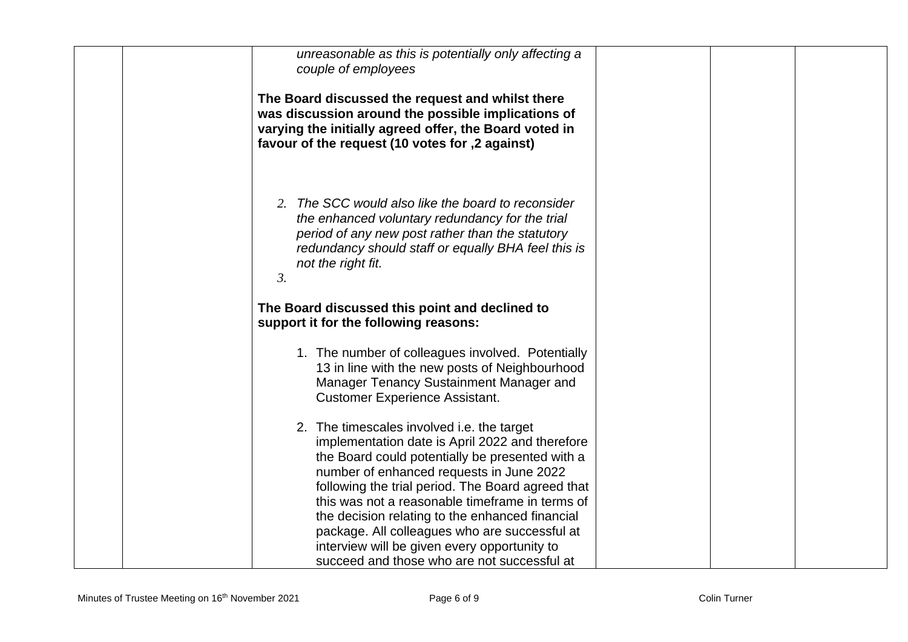| unreasonable as this is potentially only affecting a<br>couple of employees                                                                                                                                                                                                                                                                                                                                                                              |
|----------------------------------------------------------------------------------------------------------------------------------------------------------------------------------------------------------------------------------------------------------------------------------------------------------------------------------------------------------------------------------------------------------------------------------------------------------|
| The Board discussed the request and whilst there<br>was discussion around the possible implications of<br>varying the initially agreed offer, the Board voted in<br>favour of the request (10 votes for ,2 against)                                                                                                                                                                                                                                      |
| 2. The SCC would also like the board to reconsider<br>the enhanced voluntary redundancy for the trial<br>period of any new post rather than the statutory<br>redundancy should staff or equally BHA feel this is<br>not the right fit.<br>$\mathfrak{Z}$ .                                                                                                                                                                                               |
| The Board discussed this point and declined to<br>support it for the following reasons:                                                                                                                                                                                                                                                                                                                                                                  |
| 1. The number of colleagues involved. Potentially<br>13 in line with the new posts of Neighbourhood<br>Manager Tenancy Sustainment Manager and<br><b>Customer Experience Assistant.</b>                                                                                                                                                                                                                                                                  |
| 2. The timescales involved i.e. the target<br>implementation date is April 2022 and therefore<br>the Board could potentially be presented with a<br>number of enhanced requests in June 2022<br>following the trial period. The Board agreed that<br>this was not a reasonable timeframe in terms of<br>the decision relating to the enhanced financial<br>package. All colleagues who are successful at<br>interview will be given every opportunity to |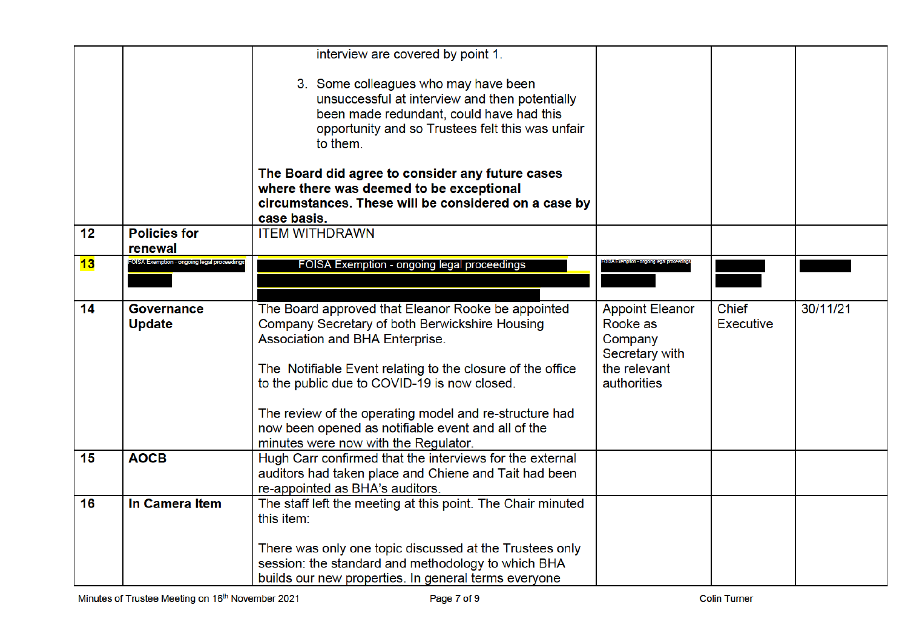|    |                                            | interview are covered by point 1.                                                                                                                                                                                                                                                                                                                                     |                                                                                                |                                  |          |
|----|--------------------------------------------|-----------------------------------------------------------------------------------------------------------------------------------------------------------------------------------------------------------------------------------------------------------------------------------------------------------------------------------------------------------------------|------------------------------------------------------------------------------------------------|----------------------------------|----------|
|    |                                            | 3. Some colleagues who may have been<br>unsuccessful at interview and then potentially<br>been made redundant, could have had this<br>opportunity and so Trustees felt this was unfair<br>to them.                                                                                                                                                                    |                                                                                                |                                  |          |
|    |                                            | The Board did agree to consider any future cases<br>where there was deemed to be exceptional<br>circumstances. These will be considered on a case by<br>case basis.                                                                                                                                                                                                   |                                                                                                |                                  |          |
| 12 | <b>Policies for</b><br>renewal             | <b>ITEM WITHDRAWN</b>                                                                                                                                                                                                                                                                                                                                                 |                                                                                                |                                  |          |
| 13 | FOISA Exemption - ongoing legal proceeding | FOISA Exemption - ongoing legal proceedings                                                                                                                                                                                                                                                                                                                           |                                                                                                |                                  |          |
| 14 | <b>Governance</b><br><b>Update</b>         | The Board approved that Eleanor Rooke be appointed<br>Company Secretary of both Berwickshire Housing<br>Association and BHA Enterprise.<br>The Notifiable Event relating to the closure of the office<br>to the public due to COVID-19 is now closed.<br>The review of the operating model and re-structure had<br>now been opened as notifiable event and all of the | <b>Appoint Eleanor</b><br>Rooke as<br>Company<br>Secretary with<br>the relevant<br>authorities | <b>Chief</b><br><b>Executive</b> | 30/11/21 |
| 15 | <b>AOCB</b>                                | minutes were now with the Regulator.<br>Hugh Carr confirmed that the interviews for the external<br>auditors had taken place and Chiene and Tait had been<br>re-appointed as BHA's auditors.                                                                                                                                                                          |                                                                                                |                                  |          |
| 16 | In Camera Item                             | The staff left the meeting at this point. The Chair minuted<br>this item:<br>There was only one topic discussed at the Trustees only                                                                                                                                                                                                                                  |                                                                                                |                                  |          |
|    |                                            | session: the standard and methodology to which BHA<br>builds our new properties. In general terms everyone                                                                                                                                                                                                                                                            |                                                                                                |                                  |          |